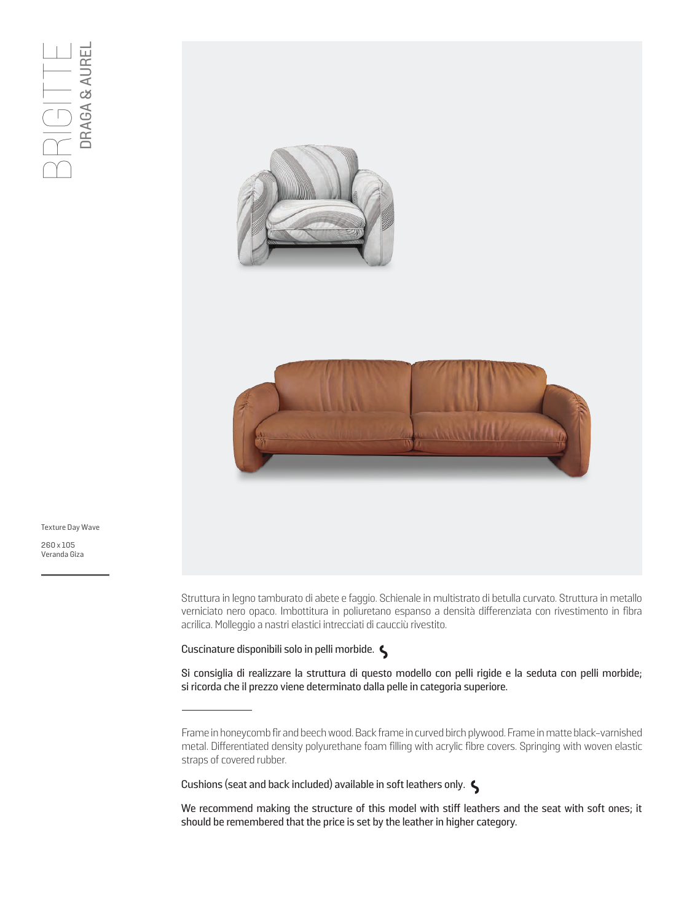



Texture Day Wave

260 x 105<br>Veranda Giza

Struttura in legno tamburato di abete e faggio. Schienale in multistrato di betulla curvato. Struttura in metallo verniciato nero opaco. Imbottitura in poliuretano espanso a densità differenziata con rivestimento in fibra acrilica. Molleggio a nastri elastici intrecciati di caucciù rivestito.

Cuscinature disponibili solo in pelli morbide.

Si consiglia di realizzare la struttura di questo modello con pelli rigide e la seduta con pelli morbide; si ricorda che il prezzo viene determinato dalla pelle in categoria superiore.

Cushions (seat and back included) available in soft leathers only.

We recommend making the structure of this model with stiff leathers and the seat with soft ones; it should be remembered that the price is set by the leather in higher category.

Frame in honeycomb fir and beech wood. Back frame in curved birch plywood. Frame in matte black-varnished metal. Differentiated density polyurethane foam filling with acrylic fibre covers. Springing with woven elastic straps of covered rubber.